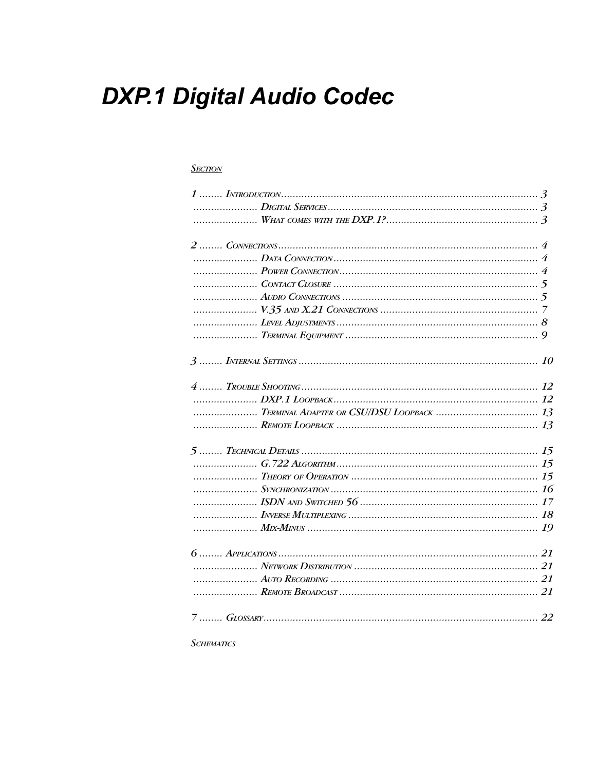# **DXP.1 Digital Audio Codec**

#### **SECTION**

| TERMINAL ADAPTER OR CSU/DSU LOOPBACK  13 |  |
|------------------------------------------|--|
|                                          |  |
|                                          |  |
|                                          |  |
|                                          |  |
|                                          |  |
|                                          |  |
|                                          |  |
|                                          |  |
|                                          |  |
|                                          |  |
|                                          |  |
|                                          |  |
|                                          |  |

**SCHEMATICS**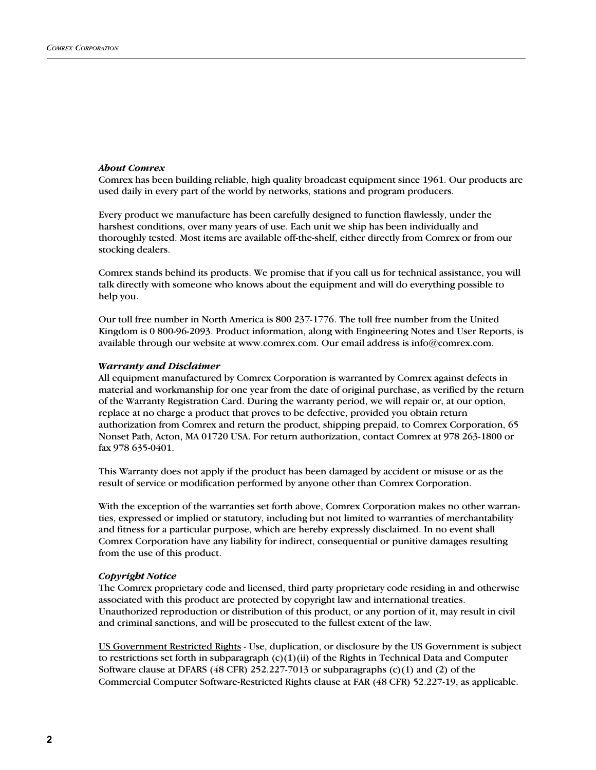#### About Comrex

Comrex has been building reliable, high quality broadcast equipment since 1961. Our products are used daily in every part of the world by networks, stations and program producers.

Every product we manufacture has been carefully designed to function flawlessly, under the harshest conditions, over many years of use. Each unit we ship has been individually and thoroughly tested. Most items are available off-the-shelf, either directly from Comrex or from our stocking dealers.

Comrex stands behind its products. We promise that if you call us for technical assistance, you will talk directly with someone who knows about the equipment and will do everything possible to help you.

Our toll free number in North America is 800 237-1776. The toll free number from the United Kingdom is 0 800-96-2093. Product information, along with Engineering Notes and User Reports, is available through our website at www.comrex.com. Our email address is info@comrex.com.

#### Warranty and Disclaimer

All equipment manufactured by Comrex Corporation is warranted by Comrex against defects in material and workmanship for one year from the date of original purchase, as verified by the return of the Warranty Registration Card. During the warranty period, we will repair or, at our option, replace at no charge a product that proves to be defective, provided you obtain return authorization from Comrex and return the product, shipping prepaid, to Comrex Corporation, 65 Nonset Path, Acton, MA 01720 USA. For return authorization, contact Comrex at 978 263-1800 or fax 978 635-0401.

This Warranty does not apply if the product has been damaged by accident or misuse or as the result of service or modification performed by anyone other than Comrex Corporation.

With the exception of the warranties set forth above, Comrex Corporation makes no other warranties, expressed or implied or statutory, including but not limited to warranties of merchantability and fitness for a particular purpose, which are hereby expressly disclaimed. In no event shall Comrex Corporation have any liability for indirect, consequential or punitive damages resulting from the use of this product.

#### Copyright Notice

The Comrex proprietary code and licensed, third party proprietary code residing in and otherwise associated with this product are protected by copyright law and international treaties. Unauthorized reproduction or distribution of this product, or any portion of it, may result in civil and criminal sanctions, and will be prosecuted to the fullest extent of the law.

US Government Restricted Rights - Use, duplication, or disclosure by the US Government is subject to restrictions set forth in subparagraph  $(c)(1)(ii)$  of the Rights in Technical Data and Computer Software clause at DFARS (48 CFR) 252.227-7013 or subparagraphs (c)(1) and (2) of the Commercial Computer Software-Restricted Rights clause at FAR (48 CFR) 52.227-19, as applicable.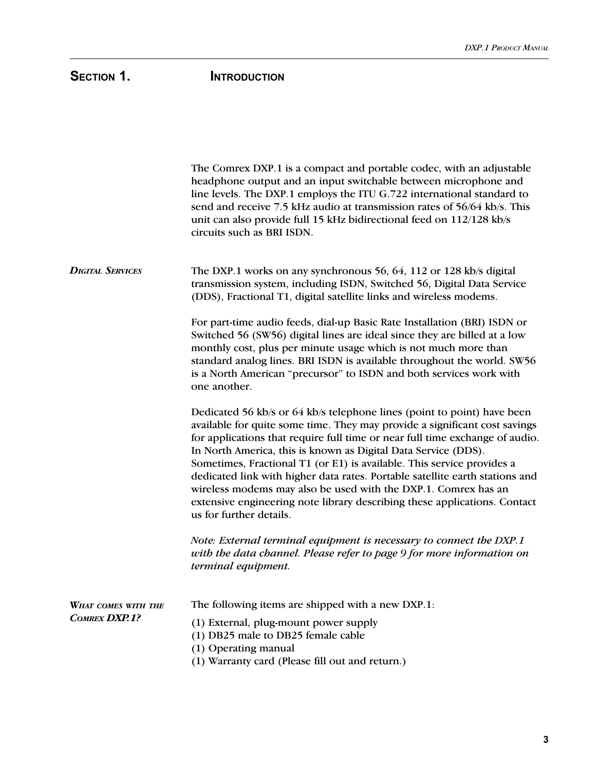# SECTION 1. **INTRODUCTION**

|                                             | The Comrex DXP.1 is a compact and portable codec, with an adjustable<br>headphone output and an input switchable between microphone and<br>line levels. The DXP.1 employs the ITU G.722 international standard to<br>send and receive 7.5 kHz audio at transmission rates of 56/64 kb/s. This<br>unit can also provide full 15 kHz bidirectional feed on 112/128 kb/s<br>circuits such as BRI ISDN.                                                                                                                                                                                                                                         |
|---------------------------------------------|---------------------------------------------------------------------------------------------------------------------------------------------------------------------------------------------------------------------------------------------------------------------------------------------------------------------------------------------------------------------------------------------------------------------------------------------------------------------------------------------------------------------------------------------------------------------------------------------------------------------------------------------|
| <b>DIGITAL SERVICES</b>                     | The DXP.1 works on any synchronous 56, 64, 112 or 128 kb/s digital<br>transmission system, including ISDN, Switched 56, Digital Data Service<br>(DDS), Fractional T1, digital satellite links and wireless modems.                                                                                                                                                                                                                                                                                                                                                                                                                          |
|                                             | For part-time audio feeds, dial-up Basic Rate Installation (BRI) ISDN or<br>Switched 56 (SW56) digital lines are ideal since they are billed at a low<br>monthly cost, plus per minute usage which is not much more than<br>standard analog lines. BRI ISDN is available throughout the world. SW56<br>is a North American "precursor" to ISDN and both services work with<br>one another.                                                                                                                                                                                                                                                  |
|                                             | Dedicated 56 kb/s or 64 kb/s telephone lines (point to point) have been<br>available for quite some time. They may provide a significant cost savings<br>for applications that require full time or near full time exchange of audio.<br>In North America, this is known as Digital Data Service (DDS).<br>Sometimes, Fractional T1 (or E1) is available. This service provides a<br>dedicated link with higher data rates. Portable satellite earth stations and<br>wireless modems may also be used with the DXP.1. Comrex has an<br>extensive engineering note library describing these applications. Contact<br>us for further details. |
|                                             | Note: External terminal equipment is necessary to connect the DXP.1<br>with the data channel. Please refer to page 9 for more information on<br>terminal equipment.                                                                                                                                                                                                                                                                                                                                                                                                                                                                         |
| <b>WHAT COMES WITH THE</b><br>COMREX DXP.1? | The following items are shipped with a new DXP.1:<br>(1) External, plug-mount power supply<br>(1) DB25 male to DB25 female cable<br>(1) Operating manual<br>(1) Warranty card (Please fill out and return.)                                                                                                                                                                                                                                                                                                                                                                                                                                 |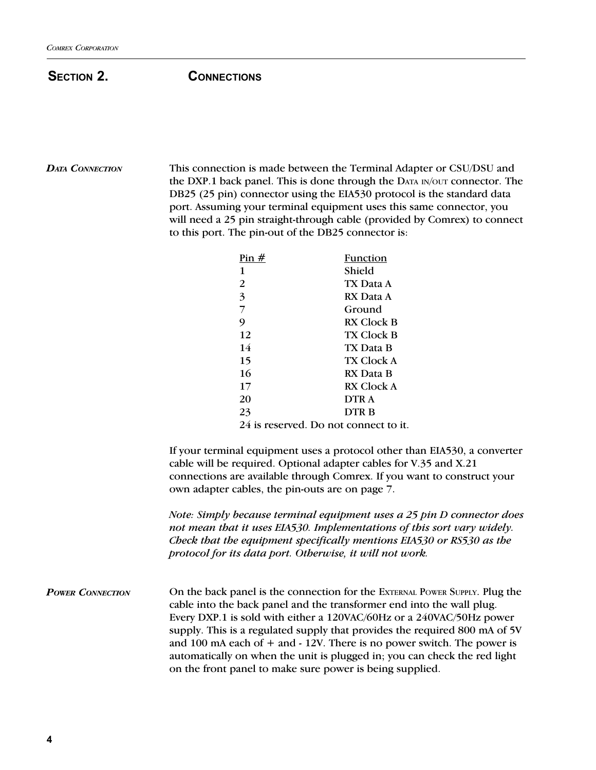## SECTION 2. CONNECTIONS

DATA CONNECTION This connection is made between the Terminal Adapter or CSU/DSU and the DXP.1 back panel. This is done through the DATA IN/OUT connector. The DB25 (25 pin) connector using the EIA530 protocol is the standard data port. Assuming your terminal equipment uses this same connector, you will need a 25 pin straight-through cable (provided by Comrex) to connect to this port. The pin-out of the DB25 connector is:

| Pin $#$ | Function                              |
|---------|---------------------------------------|
| 1       | Shield                                |
| 2       | TX Data A                             |
| 3       | RX Data A                             |
| 7       | Ground                                |
| 9       | <b>RX Clock B</b>                     |
| 12      | TX Clock B                            |
| 14      | TX Data B                             |
| 15      | <b>TX Clock A</b>                     |
| 16      | RX Data B                             |
| 17      | RX Clock A                            |
| 20      | DTR A                                 |
| 23      | DTR B                                 |
|         | 24 is reserved. Do not connect to it. |

If your terminal equipment uses a protocol other than EIA530, a converter cable will be required. Optional adapter cables for V.35 and X.21 connections are available through Comrex. If you want to construct your own adapter cables, the pin-outs are on page 7.

Note: Simply because terminal equipment uses a 25 pin D connector does not mean that it uses EIA530. Implementations of this sort vary widely. Check that the equipment specifically mentions EIA530 or RS530 as the protocol for its data port. Otherwise, it will not work.

POWER CONNECTION On the back panel is the connection for the EXTERNAL POWER SUPPLY. Plug the cable into the back panel and the transformer end into the wall plug. Every DXP.1 is sold with either a 120VAC/60Hz or a 240VAC/50Hz power supply. This is a regulated supply that provides the required 800 mA of 5V and 100 mA each of  $+$  and  $-$  12V. There is no power switch. The power is automatically on when the unit is plugged in; you can check the red light on the front panel to make sure power is being supplied.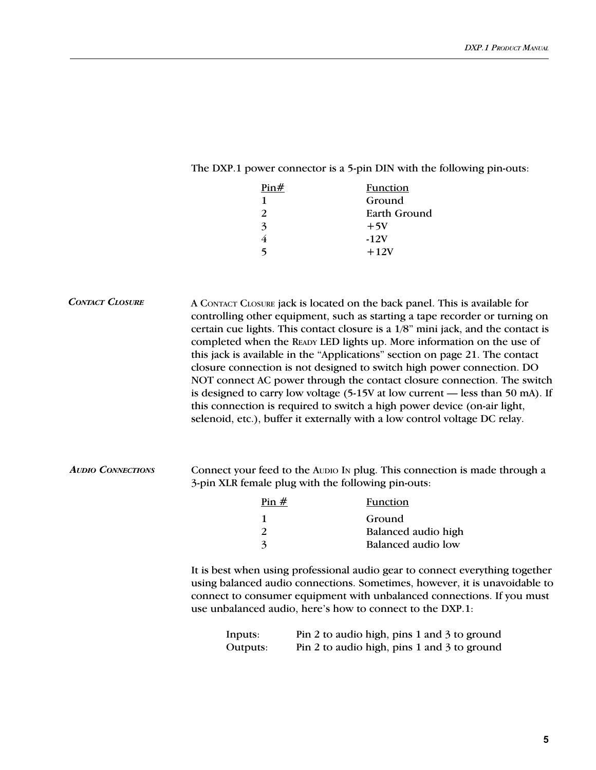# The DXP.1 power connector is a 5-pin DIN with the following pin-outs:

| Pin#          | Function     |
|---------------|--------------|
| 1             | Ground       |
| $\mathcal{P}$ | Earth Ground |
| $\mathbf{z}$  | $+5V$        |
|               | $-12V$       |
|               | $+12V$       |

|                          |                                                                                                                                                                                                                                                                                                   | A CONTACT CLOSURE jack is located on the back panel. This is available for<br>controlling other equipment, such as starting a tape recorder or turning on<br>certain cue lights. This contact closure is a 1/8" mini jack, and the contact is<br>completed when the READY LED lights up. More information on the use of<br>this jack is available in the "Applications" section on page 21. The contact<br>closure connection is not designed to switch high power connection. DO<br>NOT connect AC power through the contact closure connection. The switch<br>is designed to carry low voltage (5-15V at low current - less than 50 mA). If<br>this connection is required to switch a high power device (on-air light,<br>selenoid, etc.), buffer it externally with a low control voltage DC relay. |  |
|--------------------------|---------------------------------------------------------------------------------------------------------------------------------------------------------------------------------------------------------------------------------------------------------------------------------------------------|---------------------------------------------------------------------------------------------------------------------------------------------------------------------------------------------------------------------------------------------------------------------------------------------------------------------------------------------------------------------------------------------------------------------------------------------------------------------------------------------------------------------------------------------------------------------------------------------------------------------------------------------------------------------------------------------------------------------------------------------------------------------------------------------------------|--|
| <b>AUDIO CONNECTIONS</b> | Connect your feed to the Audio In plug. This connection is made through a<br>3-pin XLR female plug with the following pin-outs:                                                                                                                                                                   |                                                                                                                                                                                                                                                                                                                                                                                                                                                                                                                                                                                                                                                                                                                                                                                                         |  |
|                          | $\frac{\text{Pin H}}{\text{H}}$                                                                                                                                                                                                                                                                   | <b>Function</b>                                                                                                                                                                                                                                                                                                                                                                                                                                                                                                                                                                                                                                                                                                                                                                                         |  |
|                          | 1                                                                                                                                                                                                                                                                                                 | Ground                                                                                                                                                                                                                                                                                                                                                                                                                                                                                                                                                                                                                                                                                                                                                                                                  |  |
|                          | $\overline{\mathbf{c}}$                                                                                                                                                                                                                                                                           | Balanced audio high                                                                                                                                                                                                                                                                                                                                                                                                                                                                                                                                                                                                                                                                                                                                                                                     |  |
|                          | $\overline{3}$                                                                                                                                                                                                                                                                                    | <b>Balanced</b> audio low                                                                                                                                                                                                                                                                                                                                                                                                                                                                                                                                                                                                                                                                                                                                                                               |  |
|                          | It is best when using professional audio gear to connect everything together<br>using balanced audio connections. Sometimes, however, it is unavoidable to<br>connect to consumer equipment with unbalanced connections. If you must<br>use unbalanced audio, here's how to connect to the DXP.1: |                                                                                                                                                                                                                                                                                                                                                                                                                                                                                                                                                                                                                                                                                                                                                                                                         |  |
|                          | Inputs:                                                                                                                                                                                                                                                                                           | Pin 2 to audio high, pins 1 and 3 to ground                                                                                                                                                                                                                                                                                                                                                                                                                                                                                                                                                                                                                                                                                                                                                             |  |
|                          | Outputs:                                                                                                                                                                                                                                                                                          | Pin 2 to audio high, pins 1 and 3 to ground                                                                                                                                                                                                                                                                                                                                                                                                                                                                                                                                                                                                                                                                                                                                                             |  |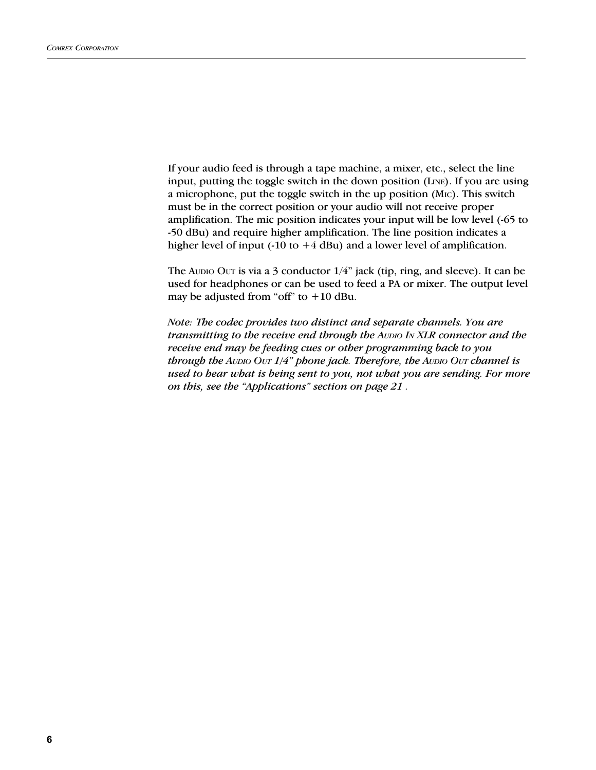If your audio feed is through a tape machine, a mixer, etc., select the line input, putting the toggle switch in the down position (LINE). If you are using a microphone, put the toggle switch in the up position (MIC). This switch must be in the correct position or your audio will not receive proper amplification. The mic position indicates your input will be low level (-65 to -50 dBu) and require higher amplification. The line position indicates a higher level of input (-10 to  $+4$  dBu) and a lower level of amplification.

The Audio Out is via a 3 conductor  $1/4$ " jack (tip, ring, and sleeve). It can be used for headphones or can be used to feed a PA or mixer. The output level may be adjusted from "off" to  $+10$  dBu.

Note: The codec provides two distinct and separate channels. You are transmitting to the receive end through the AUDIO IN XLR connector and the receive end may be feeding cues or other programming back to you through the AUDIO OUT  $1/4$ " phone jack. Therefore, the AUDIO OUT channel is used to hear what is being sent to you, not what you are sending. For more on this, see the "Applications" section on page 21.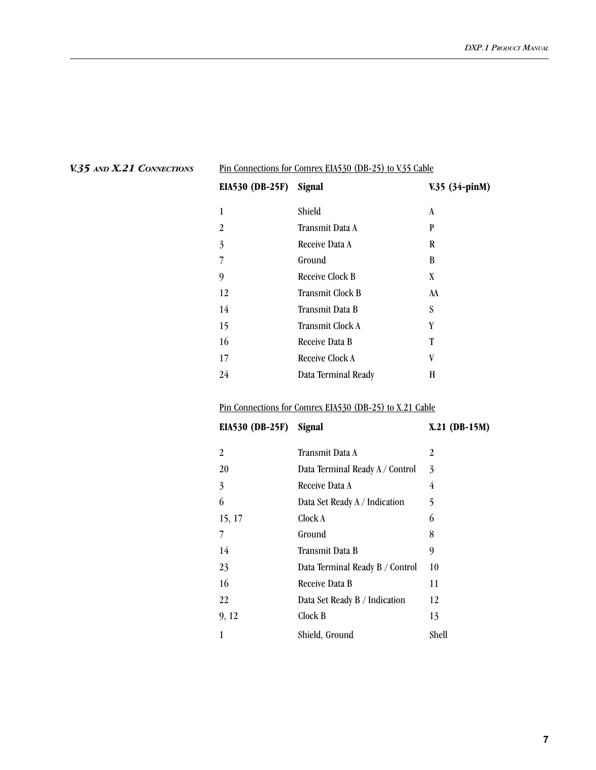| Pin Connections for Comrex EIA530 (DB-25) to V.35 Cable |                     |                  |
|---------------------------------------------------------|---------------------|------------------|
| <b>EIA530 (DB-25F)</b>                                  | Signal              | $V.35$ (34-pinM) |
| 1                                                       | Shield              | A                |
| $\mathfrak{D}$                                          | Transmit Data A     | P                |
| 3                                                       | Receive Data A      | R                |
| 7                                                       | Ground              | B                |
| 9                                                       | Receive Clock B     | X                |
| 12                                                      | Transmit Clock B    | AA               |
| 14                                                      | Transmit Data B     | S                |
| 15                                                      | Transmit Clock A    | Y                |
| 16                                                      | Receive Data B      | Т                |
| 17                                                      | Receive Clock A     | V                |
| 24                                                      | Data Terminal Ready | H                |
|                                                         |                     |                  |

### V.35 AND X.21 CONNECTIONS

### Pin Connections for Comrex EIA530 (DB-25) to X.21 Cable

| <b>EIA530 (DB-25F)</b> | Signal                          | $X.21$ (DB-15M) |
|------------------------|---------------------------------|-----------------|
| 2                      | Transmit Data A                 | 2               |
| 20                     | Data Terminal Ready A / Control | 3               |
| 3                      | Receive Data A                  | 4               |
| 6                      | Data Set Ready A / Indication   | 5               |
| 15, 17                 | Clock A                         | 6               |
| 7                      | Ground                          | 8               |
| 14                     | Transmit Data B                 | 9               |
| 23                     | Data Terminal Ready B / Control | 10              |
| 16                     | Receive Data B                  | 11              |
| 22                     | Data Set Ready B / Indication   | 12              |
| 9, 12                  | Clock B                         | 13              |
| 1                      | Shield, Ground                  | Shell           |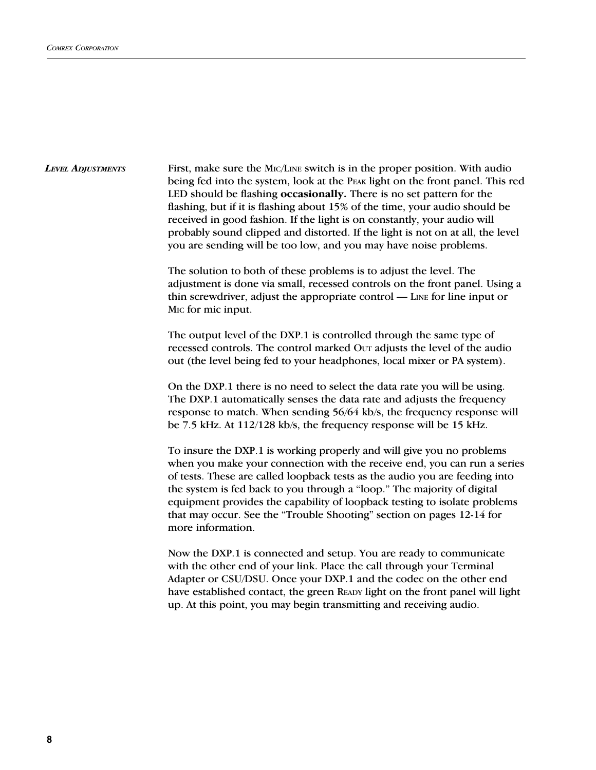First, make sure the MIC/LINE switch is in the proper position. With audio being fed into the system, look at the PEAK light on the front panel. This red LED should be flashing occasionally. There is no set pattern for the flashing, but if it is flashing about 15% of the time, your audio should be received in good fashion. If the light is on constantly, your audio will probably sound clipped and distorted. If the light is not on at all, the level you are sending will be too low, and you may have noise problems. LEVEL ADJUSTMENTS

> The solution to both of these problems is to adjust the level. The adjustment is done via small, recessed controls on the front panel. Using a thin screwdriver, adjust the appropriate control  $-$  LINE for line input or MIC for mic input.

The output level of the DXP.1 is controlled through the same type of recessed controls. The control marked Our adjusts the level of the audio out (the level being fed to your headphones, local mixer or PA system).

On the DXP.1 there is no need to select the data rate you will be using. The DXP.1 automatically senses the data rate and adjusts the frequency response to match. When sending 56/64 kb/s, the frequency response will be 7.5 kHz. At 112/128 kb/s, the frequency response will be 15 kHz.

To insure the DXP.1 is working properly and will give you no problems when you make your connection with the receive end, you can run a series of tests. These are called loopback tests as the audio you are feeding into the system is fed back to you through a "loop." The majority of digital equipment provides the capability of loopback testing to isolate problems that may occur. See the "Trouble Shooting" section on pages 12-14 for more information.

Now the DXP.1 is connected and setup. You are ready to communicate with the other end of your link. Place the call through your Terminal Adapter or CSU/DSU. Once your DXP.1 and the codec on the other end have established contact, the green READY light on the front panel will light up. At this point, you may begin transmitting and receiving audio.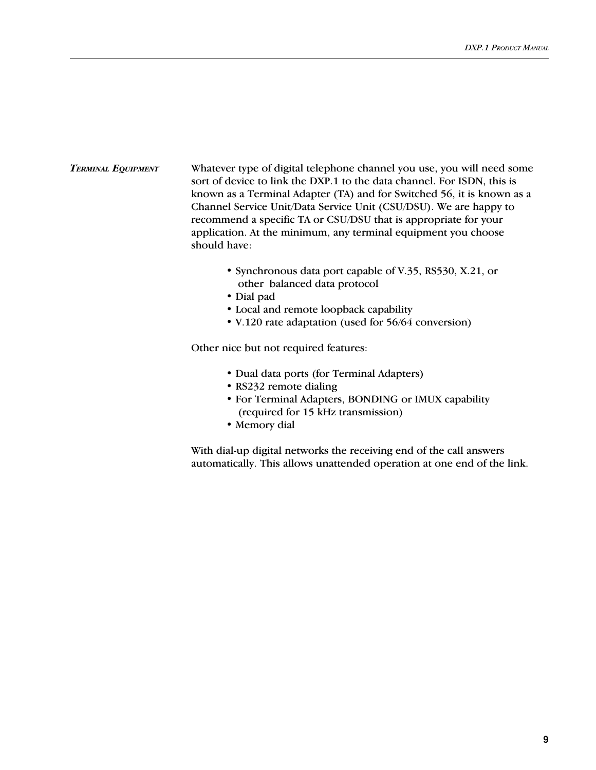#### Whatever type of digital telephone channel you use, you will need some sort of device to link the DXP.1 to the data channel. For ISDN, this is known as a Terminal Adapter (TA) and for Switched 56, it is known as a Channel Service Unit/Data Service Unit (CSU/DSU). We are happy to recommend a specific TA or CSU/DSU that is appropriate for your application. At the minimum, any terminal equipment you choose should have: TERMINAL EQUIPMENT

- Synchronous data port capable of V.35, RS530, X.21, or other balanced data protocol
- Dial pad
- Local and remote loopback capability
- V.120 rate adaptation (used for 56/64 conversion)

Other nice but not required features:

- Dual data ports (for Terminal Adapters)
- RS232 remote dialing
- For Terminal Adapters, BONDING or IMUX capability (required for 15 kHz transmission)
- Memory dial

With dial-up digital networks the receiving end of the call answers automatically. This allows unattended operation at one end of the link.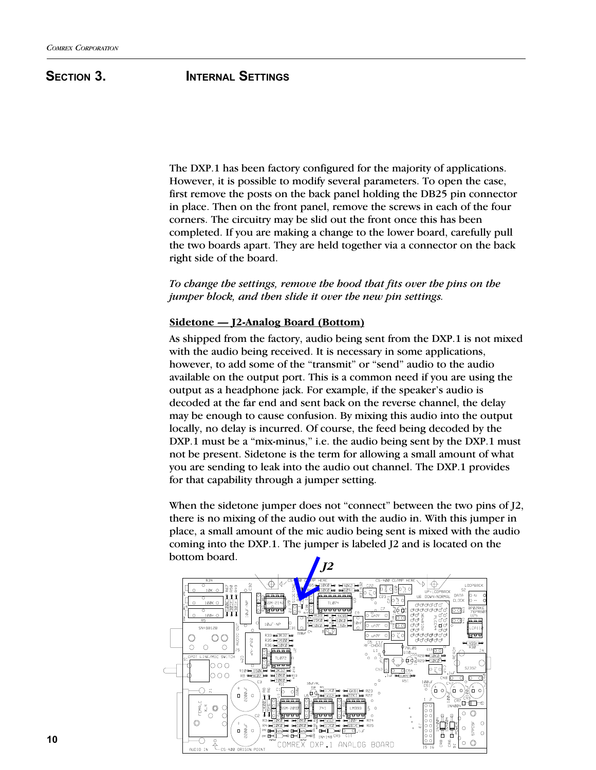### SECTION 3. **INTERNAL SETTINGS**

The DXP.1 has been factory configured for the majority of applications. However, it is possible to modify several parameters. To open the case, first remove the posts on the back panel holding the DB25 pin connector in place. Then on the front panel, remove the screws in each of the four corners. The circuitry may be slid out the front once this has been completed. If you are making a change to the lower board, carefully pull the two boards apart. They are held together via a connector on the back right side of the board.

To change the settings, remove the hood that fits over the pins on the jumper block, and then slide it over the new pin settings.

#### Sidetone — J2-Analog Board (Bottom)

As shipped from the factory, audio being sent from the DXP.1 is not mixed with the audio being received. It is necessary in some applications, however, to add some of the "transmit" or "send" audio to the audio available on the output port. This is a common need if you are using the output as a headphone jack. For example, if the speaker's audio is decoded at the far end and sent back on the reverse channel, the delay may be enough to cause confusion. By mixing this audio into the output locally, no delay is incurred. Of course, the feed being decoded by the DXP.1 must be a "mix-minus," i.e. the audio being sent by the DXP.1 must not be present. Sidetone is the term for allowing a small amount of what you are sending to leak into the audio out channel. The DXP.1 provides for that capability through a jumper setting.

When the sidetone jumper does not "connect" between the two pins of  $J2$ , there is no mixing of the audio out with the audio in. With this jumper in place, a small amount of the mic audio being sent is mixed with the audio coming into the DXP.1. The jumper is labeled J2 and is located on the bottom board.

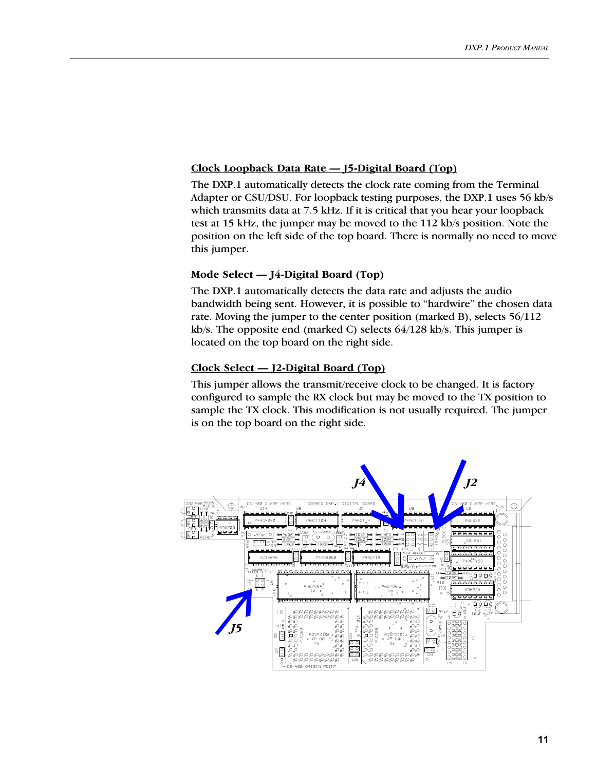#### Clock Loopback Data Rate - J5-Digital Board (Top)

The DXP.1 automatically detects the clock rate coming from the Terminal Adapter or CSU/DSU. For loopback testing purposes, the DXP.1 uses 56 kb/s which transmits data at 7.5 kHz. If it is critical that you hear your loopback test at 15 kHz, the jumper may be moved to the 112 kb/s position. Note the position on the left side of the top board. There is normally no need to move this jumper.

#### Mode Select  $-$  J4-Digital Board (Top)

The DXP.1 automatically detects the data rate and adjusts the audio bandwidth being sent. However, it is possible to "hardwire" the chosen data rate. Moving the jumper to the center position (marked B), selects 56/112 kb/s. The opposite end (marked C) selects 64/128 kb/s. This jumper is located on the top board on the right side.

#### $Clock Select - J2-Digital Board (Top)$

This jumper allows the transmit/receive clock to be changed. It is factory configured to sample the RX clock but may be moved to the TX position to sample the TX clock. This modification is not usually required. The jumper is on the top board on the right side.

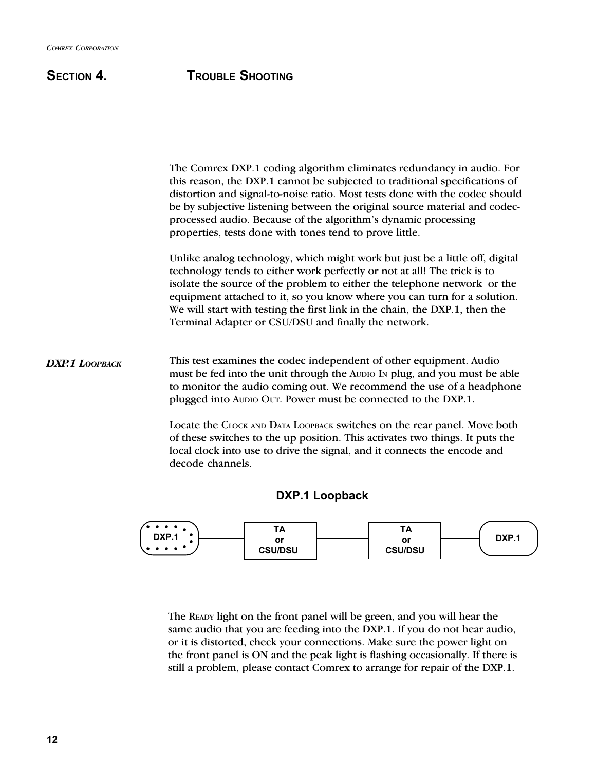# SECTION 4. **TROUBLE SHOOTING**

The Comrex DXP.1 coding algorithm eliminates redundancy in audio. For this reason, the DXP.1 cannot be subjected to traditional specifications of distortion and signal-to-noise ratio. Most tests done with the codec should be by subjective listening between the original source material and codecprocessed audio. Because of the algorithm's dynamic processing properties, tests done with tones tend to prove little. Unlike analog technology, which might work but just be a little off, digital technology tends to either work perfectly or not at all! The trick is to isolate the source of the problem to either the telephone network or the equipment attached to it, so you know where you can turn for a solution. We will start with testing the first link in the chain, the DXP.1, then the Terminal Adapter or CSU/DSU and finally the network. This test examines the codec independent of other equipment. Audio must be fed into the unit through the AUDIO IN plug, and you must be able to monitor the audio coming out. We recommend the use of a headphone plugged into AUDIO OUT. Power must be connected to the DXP.1. Locate the CLOCK AND DATA LOOPBACK switches on the rear panel. Move both of these switches to the up position. This activates two things. It puts the local clock into use to drive the signal, and it connects the encode and decode channels. DXP.1 LOOPBACK

### DXP.1 Loopback



The READY light on the front panel will be green, and you will hear the same audio that you are feeding into the DXP.1. If you do not hear audio, or it is distorted, check your connections. Make sure the power light on the front panel is ON and the peak light is flashing occasionally. If there is still a problem, please contact Comrex to arrange for repair of the DXP.1.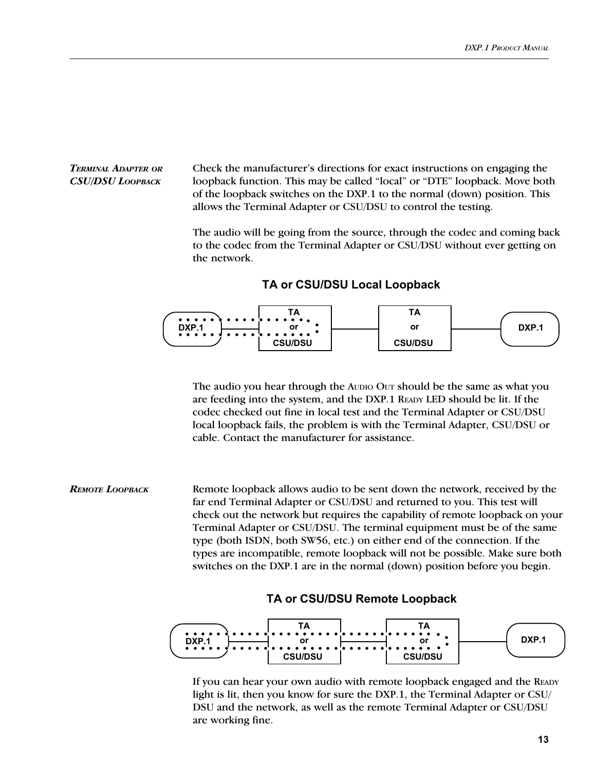#### TERMINAL ADAPTER OR CSU/DSU LOOPBACK

Check the manufacturer's directions for exact instructions on engaging the loopback function. This may be called "local" or "DTE" loopback. Move both of the loopback switches on the DXP.1 to the normal (down) position. This allows the Terminal Adapter or CSU/DSU to control the testing.

The audio will be going from the source, through the codec and coming back to the codec from the Terminal Adapter or CSU/DSU without ever getting on the network.

#### TA or CSU/DSU Local Loopback



The audio you hear through the AUDIO OUT should be the same as what you are feeding into the system, and the DXP.1 READY LED should be lit. If the codec checked out fine in local test and the Terminal Adapter or CSU/DSU local loopback fails, the problem is with the Terminal Adapter, CSU/DSU or cable. Contact the manufacturer for assistance.

Remote loopback allows audio to be sent down the network, received by the far end Terminal Adapter or CSU/DSU and returned to you. This test will check out the network but requires the capability of remote loopback on your Terminal Adapter or CSU/DSU. The terminal equipment must be of the same type (both ISDN, both SW56, etc.) on either end of the connection. If the types are incompatible, remote loopback will not be possible. Make sure both switches on the DXP.1 are in the normal (down) position before you begin. REMOTE LOOPBACK

### TA or CSU/DSU Remote Loopback



If you can hear your own audio with remote loopback engaged and the READY light is lit, then you know for sure the DXP.1, the Terminal Adapter or CSU/ DSU and the network, as well as the remote Terminal Adapter or CSU/DSU are working fine.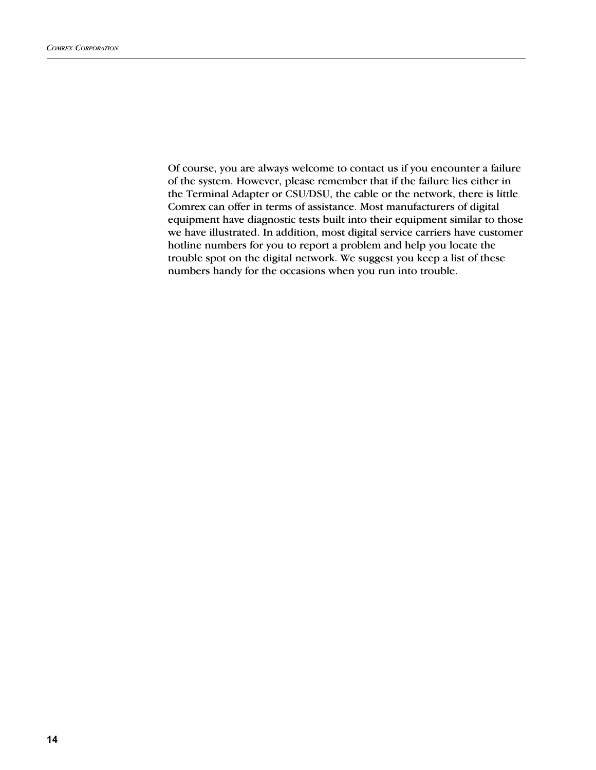Of course, you are always welcome to contact us if you encounter a failure of the system. However, please remember that if the failure lies either in the Terminal Adapter or CSU/DSU, the cable or the network, there is little Comrex can offer in terms of assistance. Most manufacturers of digital equipment have diagnostic tests built into their equipment similar to those we have illustrated. In addition, most digital service carriers have customer hotline numbers for you to report a problem and help you locate the trouble spot on the digital network. We suggest you keep a list of these numbers handy for the occasions when you run into trouble.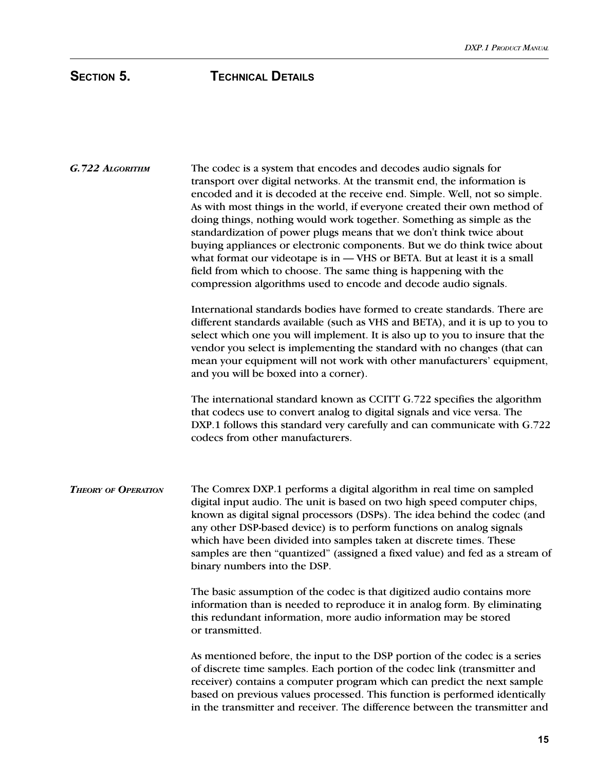| G.722 ALGORITHM            | The codec is a system that encodes and decodes audio signals for<br>transport over digital networks. At the transmit end, the information is<br>encoded and it is decoded at the receive end. Simple. Well, not so simple.<br>As with most things in the world, if everyone created their own method of<br>doing things, nothing would work together. Something as simple as the<br>standardization of power plugs means that we don't think twice about<br>buying appliances or electronic components. But we do think twice about<br>what format our videotape is in - VHS or BETA. But at least it is a small<br>field from which to choose. The same thing is happening with the<br>compression algorithms used to encode and decode audio signals. |  |  |
|----------------------------|---------------------------------------------------------------------------------------------------------------------------------------------------------------------------------------------------------------------------------------------------------------------------------------------------------------------------------------------------------------------------------------------------------------------------------------------------------------------------------------------------------------------------------------------------------------------------------------------------------------------------------------------------------------------------------------------------------------------------------------------------------|--|--|
|                            | International standards bodies have formed to create standards. There are<br>different standards available (such as VHS and BETA), and it is up to you to<br>select which one you will implement. It is also up to you to insure that the<br>vendor you select is implementing the standard with no changes (that can<br>mean your equipment will not work with other manufacturers' equipment,<br>and you will be boxed into a corner).                                                                                                                                                                                                                                                                                                                |  |  |
|                            | The international standard known as CCITT G.722 specifies the algorithm<br>that codecs use to convert analog to digital signals and vice versa. The<br>DXP.1 follows this standard very carefully and can communicate with G.722<br>codecs from other manufacturers.                                                                                                                                                                                                                                                                                                                                                                                                                                                                                    |  |  |
| <b>THEORY OF OPERATION</b> | The Comrex DXP.1 performs a digital algorithm in real time on sampled<br>digital input audio. The unit is based on two high speed computer chips,<br>known as digital signal processors (DSPs). The idea behind the codec (and<br>any other DSP-based device) is to perform functions on analog signals<br>which have been divided into samples taken at discrete times. These<br>samples are then "quantized" (assigned a fixed value) and fed as a stream of<br>binary numbers into the DSP.                                                                                                                                                                                                                                                          |  |  |
|                            | The basic assumption of the codec is that digitized audio contains more<br>information than is needed to reproduce it in analog form. By eliminating<br>this redundant information, more audio information may be stored<br>or transmitted.                                                                                                                                                                                                                                                                                                                                                                                                                                                                                                             |  |  |
|                            | As mentioned before, the input to the DSP portion of the codec is a series<br>of discrete time samples. Each portion of the codec link (transmitter and<br>receiver) contains a computer program which can predict the next sample<br>based on previous values processed. This function is performed identically<br>in the transmitter and receiver. The difference between the transmitter and                                                                                                                                                                                                                                                                                                                                                         |  |  |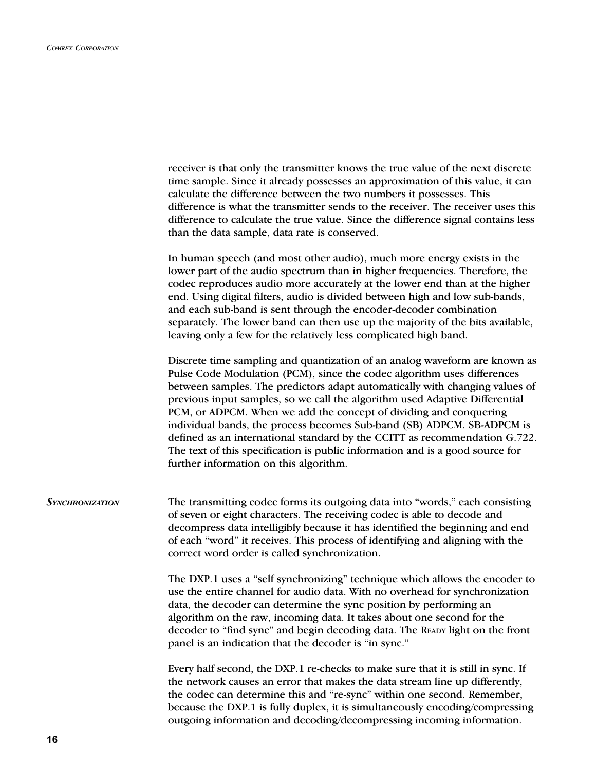|                 | receiver is that only the transmitter knows the true value of the next discrete<br>time sample. Since it already possesses an approximation of this value, it can<br>calculate the difference between the two numbers it possesses. This<br>difference is what the transmitter sends to the receiver. The receiver uses this<br>difference to calculate the true value. Since the difference signal contains less<br>than the data sample, data rate is conserved.                                                                                                                                                                                                          |
|-----------------|-----------------------------------------------------------------------------------------------------------------------------------------------------------------------------------------------------------------------------------------------------------------------------------------------------------------------------------------------------------------------------------------------------------------------------------------------------------------------------------------------------------------------------------------------------------------------------------------------------------------------------------------------------------------------------|
|                 | In human speech (and most other audio), much more energy exists in the<br>lower part of the audio spectrum than in higher frequencies. Therefore, the<br>codec reproduces audio more accurately at the lower end than at the higher<br>end. Using digital filters, audio is divided between high and low sub-bands,<br>and each sub-band is sent through the encoder-decoder combination<br>separately. The lower band can then use up the majority of the bits available,<br>leaving only a few for the relatively less complicated high band.                                                                                                                             |
|                 | Discrete time sampling and quantization of an analog waveform are known as<br>Pulse Code Modulation (PCM), since the codec algorithm uses differences<br>between samples. The predictors adapt automatically with changing values of<br>previous input samples, so we call the algorithm used Adaptive Differential<br>PCM, or ADPCM. When we add the concept of dividing and conquering<br>individual bands, the process becomes Sub-band (SB) ADPCM. SB-ADPCM is<br>defined as an international standard by the CCITT as recommendation G.722.<br>The text of this specification is public information and is a good source for<br>further information on this algorithm. |
| Synchronization | The transmitting codec forms its outgoing data into "words," each consisting<br>of seven or eight characters. The receiving codec is able to decode and<br>decompress data intelligibly because it has identified the beginning and end<br>of each "word" it receives. This process of identifying and aligning with the<br>correct word order is called synchronization.                                                                                                                                                                                                                                                                                                   |
|                 | The DXP.1 uses a "self synchronizing" technique which allows the encoder to<br>use the entire channel for audio data. With no overhead for synchronization<br>data, the decoder can determine the sync position by performing an<br>algorithm on the raw, incoming data. It takes about one second for the<br>decoder to "find sync" and begin decoding data. The READY light on the front<br>panel is an indication that the decoder is "in sync."                                                                                                                                                                                                                         |
|                 | Every half second, the DXP.1 re-checks to make sure that it is still in sync. If<br>the network causes an error that makes the data stream line up differently,<br>the codec can determine this and "re-sync" within one second. Remember,<br>because the DXP.1 is fully duplex, it is simultaneously encoding/compressing<br>outgoing information and decoding/decompressing incoming information.                                                                                                                                                                                                                                                                         |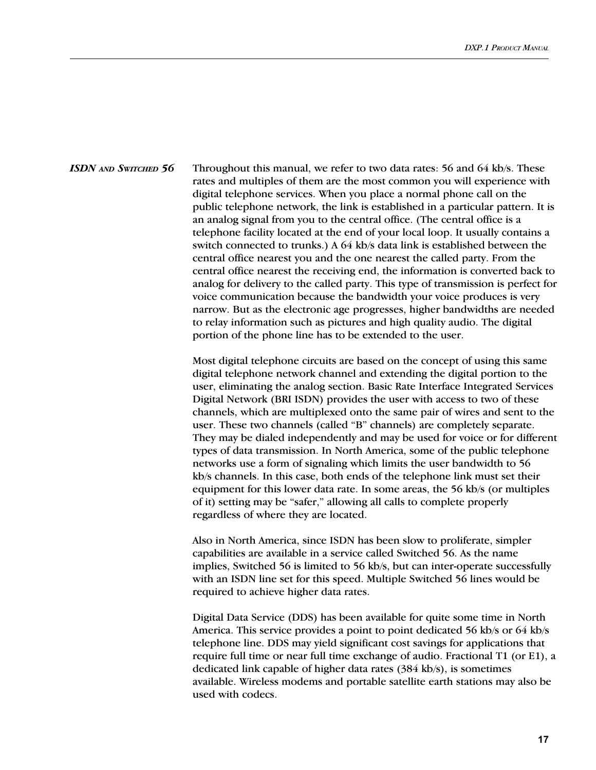ISDN AND SWITCHED 56 Throughout this manual, we refer to two data rates: 56 and 64 kb/s. These rates and multiples of them are the most common you will experience with digital telephone services. When you place a normal phone call on the public telephone network, the link is established in a particular pattern. It is an analog signal from you to the central office. (The central office is a telephone facility located at the end of your local loop. It usually contains a switch connected to trunks.) A 64 kb/s data link is established between the central office nearest you and the one nearest the called party. From the central office nearest the receiving end, the information is converted back to analog for delivery to the called party. This type of transmission is perfect for voice communication because the bandwidth your voice produces is very narrow. But as the electronic age progresses, higher bandwidths are needed to relay information such as pictures and high quality audio. The digital portion of the phone line has to be extended to the user.

> Most digital telephone circuits are based on the concept of using this same digital telephone network channel and extending the digital portion to the user, eliminating the analog section. Basic Rate Interface Integrated Services Digital Network (BRI ISDN) provides the user with access to two of these channels, which are multiplexed onto the same pair of wires and sent to the user. These two channels (called "B" channels) are completely separate. They may be dialed independently and may be used for voice or for different types of data transmission. In North America, some of the public telephone networks use a form of signaling which limits the user bandwidth to 56 kb/s channels. In this case, both ends of the telephone link must set their equipment for this lower data rate. In some areas, the 56 kb/s (or multiples of it) setting may be "safer," allowing all calls to complete properly regardless of where they are located.

Also in North America, since ISDN has been slow to proliferate, simpler capabilities are available in a service called Switched 56. As the name implies, Switched 56 is limited to 56 kb/s, but can inter-operate successfully with an ISDN line set for this speed. Multiple Switched 56 lines would be required to achieve higher data rates.

Digital Data Service (DDS) has been available for quite some time in North America. This service provides a point to point dedicated 56 kb/s or 64 kb/s telephone line. DDS may yield significant cost savings for applications that require full time or near full time exchange of audio. Fractional T1 (or E1), a dedicated link capable of higher data rates (384 kb/s), is sometimes available. Wireless modems and portable satellite earth stations may also be used with codecs.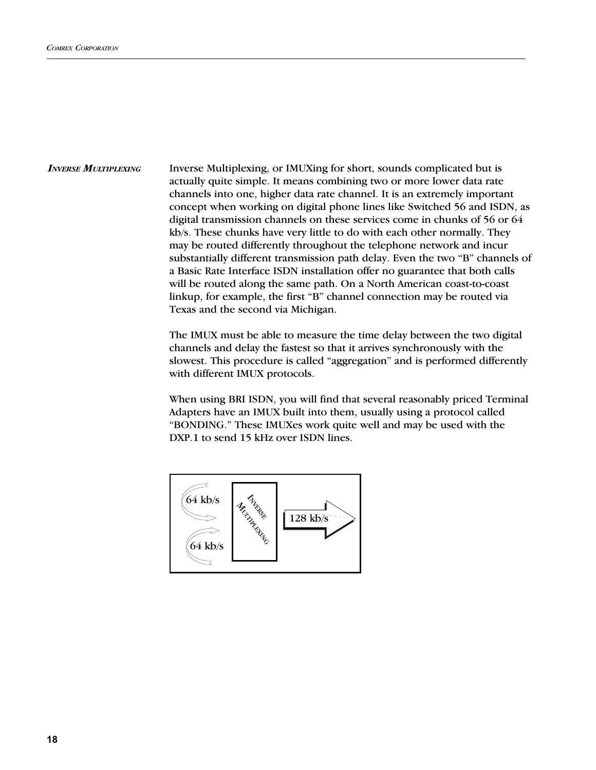Inverse Multiplexing, or IMUXing for short, sounds complicated but is actually quite simple. It means combining two or more lower data rate channels into one, higher data rate channel. It is an extremely important concept when working on digital phone lines like Switched 56 and ISDN, as digital transmission channels on these services come in chunks of 56 or 64 kb/s. These chunks have very little to do with each other normally. They may be routed differently throughout the telephone network and incur substantially different transmission path delay. Even the two "B" channels of a Basic Rate Interface ISDN installation offer no guarantee that both calls will be routed along the same path. On a North American coast-to-coast linkup, for example, the first "B" channel connection may be routed via Texas and the second via Michigan. **INVERSE MULTIPLEXING** 

> The IMUX must be able to measure the time delay between the two digital channels and delay the fastest so that it arrives synchronously with the slowest. This procedure is called "aggregation" and is performed differently with different IMUX protocols.

> When using BRI ISDN, you will find that several reasonably priced Terminal Adapters have an IMUX built into them, usually using a protocol called BONDING. These IMUXes work quite well and may be used with the DXP.1 to send 15 kHz over ISDN lines.

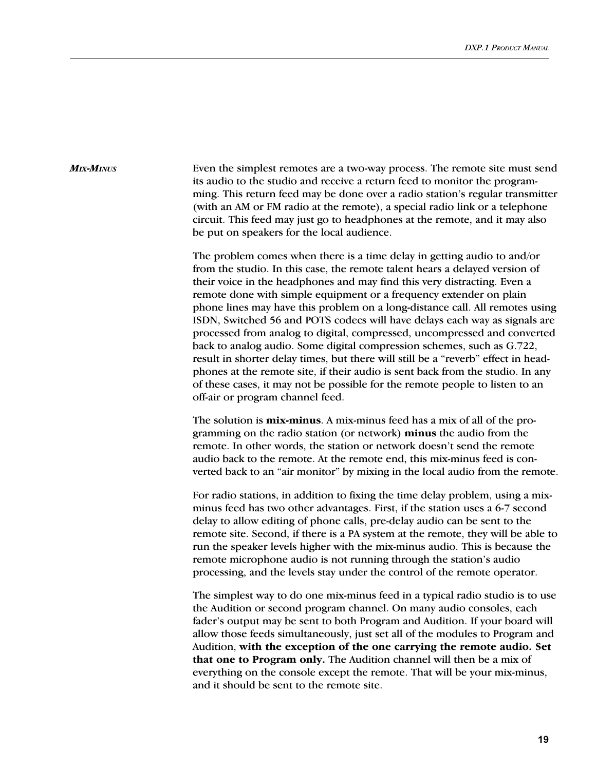#### MIX-MINUS

Even the simplest remotes are a two-way process. The remote site must send its audio to the studio and receive a return feed to monitor the programming. This return feed may be done over a radio station's regular transmitter (with an AM or FM radio at the remote), a special radio link or a telephone circuit. This feed may just go to headphones at the remote, and it may also be put on speakers for the local audience.

The problem comes when there is a time delay in getting audio to and/or from the studio. In this case, the remote talent hears a delayed version of their voice in the headphones and may find this very distracting. Even a remote done with simple equipment or a frequency extender on plain phone lines may have this problem on a long-distance call. All remotes using ISDN, Switched 56 and POTS codecs will have delays each way as signals are processed from analog to digital, compressed, uncompressed and converted back to analog audio. Some digital compression schemes, such as G.722, result in shorter delay times, but there will still be a "reverb" effect in headphones at the remote site, if their audio is sent back from the studio. In any of these cases, it may not be possible for the remote people to listen to an off-air or program channel feed.

The solution is **mix-minus**. A mix-minus feed has a mix of all of the programming on the radio station (or network) minus the audio from the remote. In other words, the station or network doesn't send the remote audio back to the remote. At the remote end, this mix-minus feed is converted back to an "air monitor" by mixing in the local audio from the remote.

For radio stations, in addition to fixing the time delay problem, using a mixminus feed has two other advantages. First, if the station uses a 6-7 second delay to allow editing of phone calls, pre-delay audio can be sent to the remote site. Second, if there is a PA system at the remote, they will be able to run the speaker levels higher with the mix-minus audio. This is because the remote microphone audio is not running through the station's audio processing, and the levels stay under the control of the remote operator.

The simplest way to do one mix-minus feed in a typical radio studio is to use the Audition or second program channel. On many audio consoles, each fader's output may be sent to both Program and Audition. If your board will allow those feeds simultaneously, just set all of the modules to Program and Audition, with the exception of the one carrying the remote audio. Set that one to Program only. The Audition channel will then be a mix of everything on the console except the remote. That will be your mix-minus, and it should be sent to the remote site.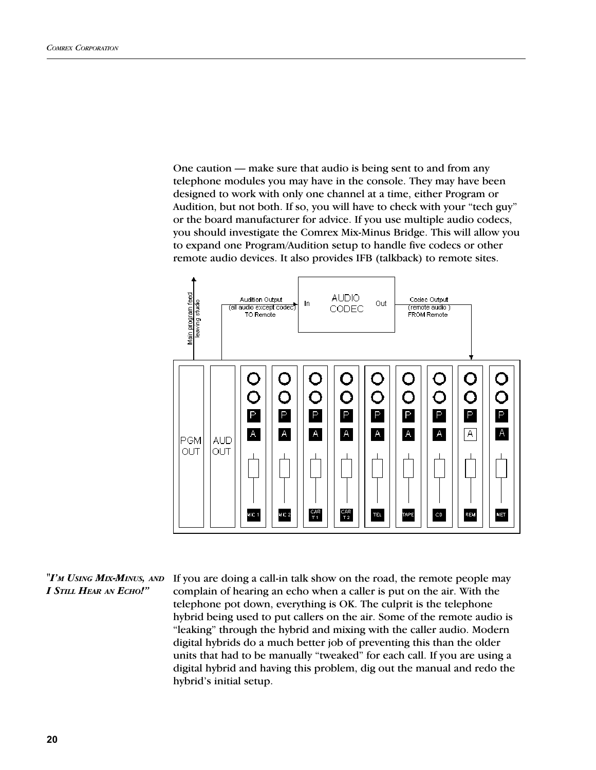One caution  $-$  make sure that audio is being sent to and from any telephone modules you may have in the console. They may have been designed to work with only one channel at a time, either Program or Audition, but not both. If so, you will have to check with your "tech guy" or the board manufacturer for advice. If you use multiple audio codecs, you should investigate the Comrex Mix-Minus Bridge. This will allow you to expand one Program/Audition setup to handle five codecs or other remote audio devices. It also provides IFB (talkback) to remote sites.



#### "I'm Using Mix-Minus, and I STILL HEAR AN ECHO!"

If you are doing a call-in talk show on the road, the remote people may complain of hearing an echo when a caller is put on the air. With the telephone pot down, everything is OK. The culprit is the telephone hybrid being used to put callers on the air. Some of the remote audio is "leaking" through the hybrid and mixing with the caller audio. Modern digital hybrids do a much better job of preventing this than the older units that had to be manually "tweaked" for each call. If you are using a digital hybrid and having this problem, dig out the manual and redo the hybrid's initial setup.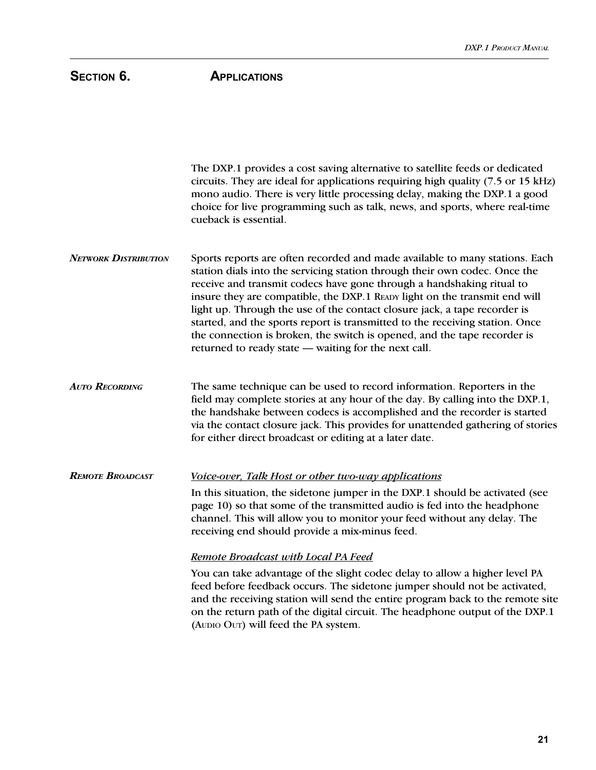# SECTION 6. **APPLICATIONS**

The DXP.1 provides a cost saving alternative to satellite feeds or dedicated circuits. They are ideal for applications requiring high quality (7.5 or 15 kHz) mono audio. There is very little processing delay, making the DXP.1 a good choice for live programming such as talk, news, and sports, where real-time cueback is essential. Sports reports are often recorded and made available to many stations. Each station dials into the servicing station through their own codec. Once the receive and transmit codecs have gone through a handshaking ritual to insure they are compatible, the DXP.1 READY light on the transmit end will light up. Through the use of the contact closure jack, a tape recorder is started, and the sports report is transmitted to the receiving station. Once the connection is broken, the switch is opened, and the tape recorder is returned to ready state — waiting for the next call. The same technique can be used to record information. Reporters in the field may complete stories at any hour of the day. By calling into the DXP.1, the handshake between codecs is accomplished and the recorder is started via the contact closure jack. This provides for unattended gathering of stories for either direct broadcast or editing at a later date. Voice-over, Talk Host or other two-way applications In this situation, the sidetone jumper in the DXP.1 should be activated (see AUTO RECORDING REMOTE BROADCAST **NETWORK DISTRIBUTION** 

page 10) so that some of the transmitted audio is fed into the headphone channel. This will allow you to monitor your feed without any delay. The receiving end should provide a mix-minus feed.

#### Remote Broadcast with Local PA Feed

You can take advantage of the slight codec delay to allow a higher level PA feed before feedback occurs. The sidetone jumper should not be activated, and the receiving station will send the entire program back to the remote site on the return path of the digital circuit. The headphone output of the DXP.1 (AUDIO OUT) will feed the PA system.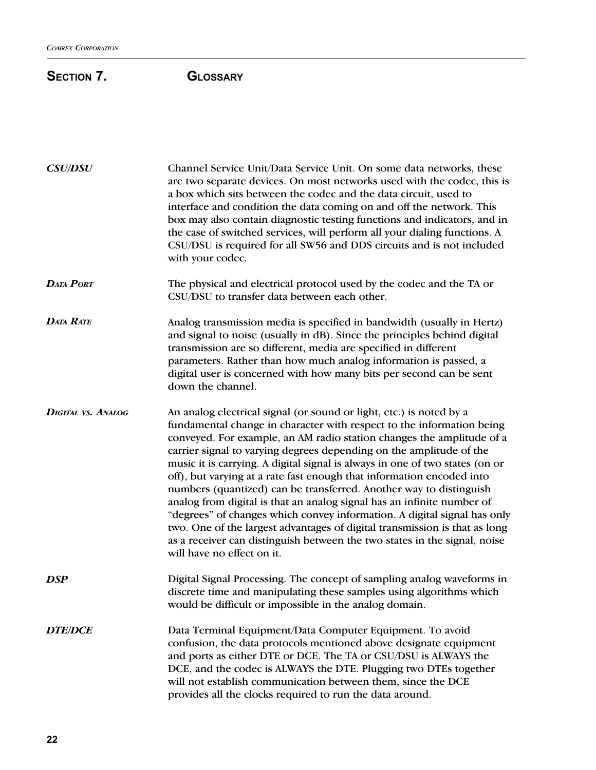# SECTION 7. **GLOSSARY**

| <b>CSU/DSU</b>            | Channel Service Unit/Data Service Unit. On some data networks, these<br>are two separate devices. On most networks used with the codec, this is<br>a box which sits between the codec and the data circuit, used to<br>interface and condition the data coming on and off the network. This<br>box may also contain diagnostic testing functions and indicators, and in<br>the case of switched services, will perform all your dialing functions. A<br>CSU/DSU is required for all SW56 and DDS circuits and is not included<br>with your codec.                                                                                                                                                                                                                                                                                                                          |
|---------------------------|----------------------------------------------------------------------------------------------------------------------------------------------------------------------------------------------------------------------------------------------------------------------------------------------------------------------------------------------------------------------------------------------------------------------------------------------------------------------------------------------------------------------------------------------------------------------------------------------------------------------------------------------------------------------------------------------------------------------------------------------------------------------------------------------------------------------------------------------------------------------------|
| <b>DATA PORT</b>          | The physical and electrical protocol used by the codec and the TA or<br>CSU/DSU to transfer data between each other.                                                                                                                                                                                                                                                                                                                                                                                                                                                                                                                                                                                                                                                                                                                                                       |
| <b>DATA RATE</b>          | Analog transmission media is specified in bandwidth (usually in Hertz)<br>and signal to noise (usually in dB). Since the principles behind digital<br>transmission are so different, media are specified in different<br>parameters. Rather than how much analog information is passed, a<br>digital user is concerned with how many bits per second can be sent<br>down the channel.                                                                                                                                                                                                                                                                                                                                                                                                                                                                                      |
| <b>DIGITAL VS. ANALOG</b> | An analog electrical signal (or sound or light, etc.) is noted by a<br>fundamental change in character with respect to the information being<br>conveyed. For example, an AM radio station changes the amplitude of a<br>carrier signal to varying degrees depending on the amplitude of the<br>music it is carrying. A digital signal is always in one of two states (on or<br>off), but varying at a rate fast enough that information encoded into<br>numbers (quantized) can be transferred. Another way to distinguish<br>analog from digital is that an analog signal has an infinite number of<br>"degrees" of changes which convey information. A digital signal has only<br>two. One of the largest advantages of digital transmission is that as long<br>as a receiver can distinguish between the two states in the signal, noise<br>will have no effect on it. |
| <b>DSP</b>                | Digital Signal Processing. The concept of sampling analog waveforms in<br>discrete time and manipulating these samples using algorithms which<br>would be difficult or impossible in the analog domain.                                                                                                                                                                                                                                                                                                                                                                                                                                                                                                                                                                                                                                                                    |
| <b>DTE/DCE</b>            | Data Terminal Equipment/Data Computer Equipment. To avoid<br>confusion, the data protocols mentioned above designate equipment<br>and ports as either DTE or DCE. The TA or CSU/DSU is ALWAYS the<br>DCE, and the codec is ALWAYS the DTE. Plugging two DTEs together<br>will not establish communication between them, since the DCE<br>provides all the clocks required to run the data around.                                                                                                                                                                                                                                                                                                                                                                                                                                                                          |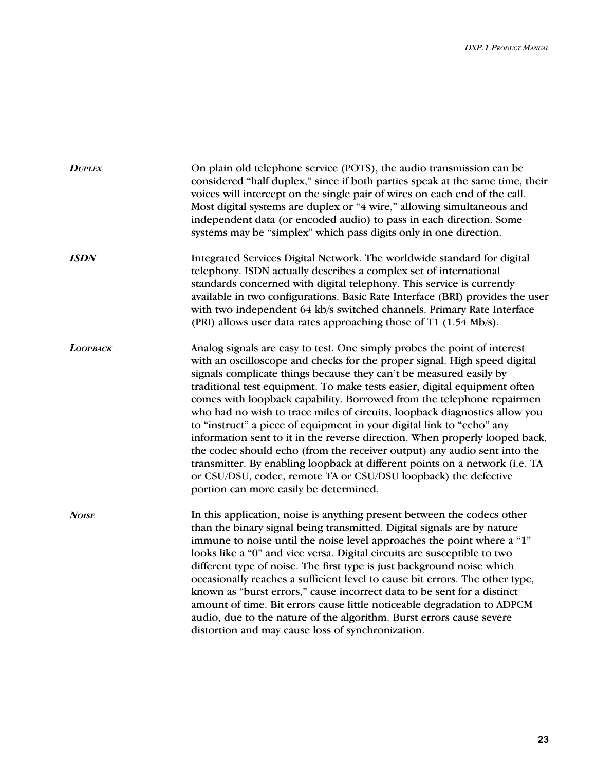| <b>DUPLEX</b> | On plain old telephone service (POTS), the audio transmission can be<br>considered "half duplex," since if both parties speak at the same time, their<br>voices will intercept on the single pair of wires on each end of the call.<br>Most digital systems are duplex or "4 wire," allowing simultaneous and<br>independent data (or encoded audio) to pass in each direction. Some<br>systems may be "simplex" which pass digits only in one direction.                                                                                                                                                                                                                                                                                                                                                                                                                                       |
|---------------|-------------------------------------------------------------------------------------------------------------------------------------------------------------------------------------------------------------------------------------------------------------------------------------------------------------------------------------------------------------------------------------------------------------------------------------------------------------------------------------------------------------------------------------------------------------------------------------------------------------------------------------------------------------------------------------------------------------------------------------------------------------------------------------------------------------------------------------------------------------------------------------------------|
| <b>ISDN</b>   | Integrated Services Digital Network. The worldwide standard for digital<br>telephony. ISDN actually describes a complex set of international<br>standards concerned with digital telephony. This service is currently<br>available in two configurations. Basic Rate Interface (BRI) provides the user<br>with two independent 64 kb/s switched channels. Primary Rate Interface<br>(PRI) allows user data rates approaching those of T1 (1.54 Mb/s).                                                                                                                                                                                                                                                                                                                                                                                                                                           |
| LOOPBACK      | Analog signals are easy to test. One simply probes the point of interest<br>with an oscilloscope and checks for the proper signal. High speed digital<br>signals complicate things because they can't be measured easily by<br>traditional test equipment. To make tests easier, digital equipment often<br>comes with loopback capability. Borrowed from the telephone repairmen<br>who had no wish to trace miles of circuits, loopback diagnostics allow you<br>to "instruct" a piece of equipment in your digital link to "echo" any<br>information sent to it in the reverse direction. When properly looped back,<br>the codec should echo (from the receiver output) any audio sent into the<br>transmitter. By enabling loopback at different points on a network (i.e. TA<br>or CSU/DSU, codec, remote TA or CSU/DSU loopback) the defective<br>portion can more easily be determined. |
| <b>NOISE</b>  | In this application, noise is anything present between the codecs other<br>than the binary signal being transmitted. Digital signals are by nature<br>immune to noise until the noise level approaches the point where a "1"<br>looks like a "0" and vice versa. Digital circuits are susceptible to two<br>different type of noise. The first type is just background noise which<br>occasionally reaches a sufficient level to cause bit errors. The other type,<br>known as "burst errors," cause incorrect data to be sent for a distinct<br>amount of time. Bit errors cause little noticeable degradation to ADPCM<br>audio, due to the nature of the algorithm. Burst errors cause severe<br>distortion and may cause loss of synchronization.                                                                                                                                           |